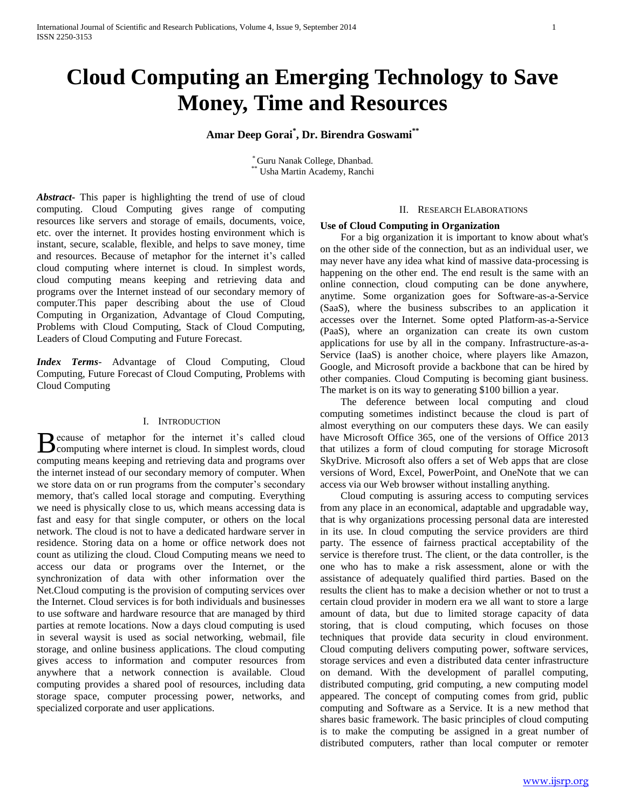# **Cloud Computing an Emerging Technology to Save Money, Time and Resources**

## **Amar Deep Gorai\* , Dr. Birendra Goswami\*\***

\* Guru Nanak College, Dhanbad. \*\* Usha Martin Academy, Ranchi

*Abstract***-** This paper is highlighting the trend of use of cloud computing. Cloud Computing gives range of computing resources like servers and storage of emails, documents, voice, etc. over the internet. It provides hosting environment which is instant, secure, scalable, flexible, and helps to save money, time and resources. Because of metaphor for the internet it's called cloud computing where internet is cloud. In simplest words, cloud computing means keeping and retrieving data and programs over the Internet instead of our secondary memory of computer.This paper describing about the use of Cloud Computing in Organization, Advantage of Cloud Computing, Problems with Cloud Computing, Stack of Cloud Computing, Leaders of Cloud Computing and Future Forecast.

*Index Terms*- Advantage of Cloud Computing, Cloud Computing, Future Forecast of Cloud Computing, Problems with Cloud Computing

## I. INTRODUCTION

ecause of metaphor for the internet it's called cloud Because of metaphor for the internet it's called cloud Computing where internet is cloud. In simplest words, cloud computing means keeping and retrieving data and programs over the internet instead of our secondary memory of computer. When we store data on or run programs from the computer's secondary memory, that's called local storage and computing. Everything we need is physically close to us, which means accessing data is fast and easy for that single computer, or others on the local network. The cloud is not to have a dedicated hardware server in residence. Storing data on a home or office network does not count as utilizing the cloud. Cloud Computing means we need to access our data or programs over the Internet, or the synchronization of data with other information over the Net.Cloud computing is the provision of computing services over the Internet. Cloud services is for both individuals and businesses to use software and hardware resource that are managed by third parties at remote locations. Now a days cloud computing is used in several waysit is used as social networking, webmail, file storage, and online business applications. The cloud computing gives access to information and computer resources from anywhere that a network connection is available. Cloud computing provides a shared pool of resources, including data storage space, computer processing power, networks, and specialized corporate and user applications.

#### II. RESEARCH ELABORATIONS

## **Use of Cloud Computing in Organization**

 For a big organization it is important to know about what's on the other side of the connection, but as an individual user, we may never have any idea what kind of massive data-processing is happening on the other end. The end result is the same with an online connection, cloud computing can be done anywhere, anytime. Some organization goes for Software-as-a-Service (SaaS), where the business subscribes to an application it accesses over the Internet. Some opted Platform-as-a-Service (PaaS), where an organization can create its own custom applications for use by all in the company. Infrastructure-as-a-Service (IaaS) is another choice, where players like Amazon, Google, and Microsoft provide a backbone that can be hired by other companies. Cloud Computing is becoming giant business. The market is on its way to generating \$100 billion a year.

 The deference between local computing and cloud computing sometimes indistinct because the cloud is part of almost everything on our computers these days. We can easily have Microsoft Office 365, one of the versions of Office 2013 that utilizes a form of cloud computing for storage Microsoft SkyDrive. Microsoft also offers a set of Web apps that are close versions of Word, Excel, PowerPoint, and OneNote that we can access via our Web browser without installing anything.

 Cloud computing is assuring access to computing services from any place in an economical, adaptable and upgradable way, that is why organizations processing personal data are interested in its use. In cloud computing the service providers are third party. The essence of fairness practical acceptability of the service is therefore trust. The client, or the data controller, is the one who has to make a risk assessment, alone or with the assistance of adequately qualified third parties. Based on the results the client has to make a decision whether or not to trust a certain cloud provider in modern era we all want to store a large amount of data, but due to limited storage capacity of data storing, that is cloud computing, which focuses on those techniques that provide data security in cloud environment. Cloud computing delivers computing power, software services, storage services and even a distributed data center infrastructure on demand. With the development of parallel computing, distributed computing, grid computing, a new computing model appeared. The concept of computing comes from grid, public computing and Software as a Service. It is a new method that shares basic framework. The basic principles of cloud computing is to make the computing be assigned in a great number of distributed computers, rather than local computer or remoter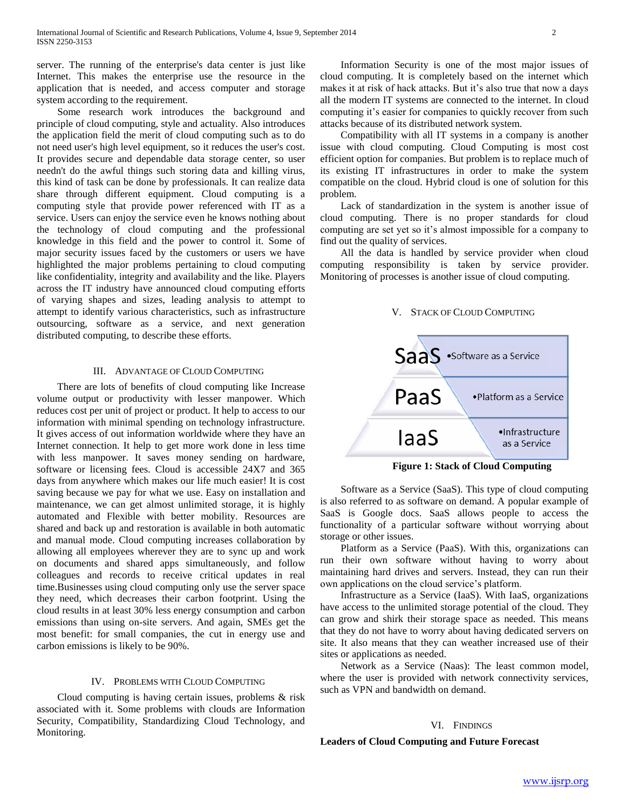server. The running of the enterprise's data center is just like Internet. This makes the enterprise use the resource in the application that is needed, and access computer and storage system according to the requirement.

 Some research work introduces the background and principle of cloud computing, style and actuality. Also introduces the application field the merit of cloud computing such as to do not need user's high level equipment, so it reduces the user's cost. It provides secure and dependable data storage center, so user needn't do the awful things such storing data and killing virus, this kind of task can be done by professionals. It can realize data share through different equipment. Cloud computing is a computing style that provide power referenced with IT as a service. Users can enjoy the service even he knows nothing about the technology of cloud computing and the professional knowledge in this field and the power to control it. Some of major security issues faced by the customers or users we have highlighted the major problems pertaining to cloud computing like confidentiality, integrity and availability and the like. Players across the IT industry have announced cloud computing efforts of varying shapes and sizes, leading analysis to attempt to attempt to identify various characteristics, such as infrastructure outsourcing, software as a service, and next generation distributed computing, to describe these efforts.

## III. ADVANTAGE OF CLOUD COMPUTING

 There are lots of benefits of cloud computing like Increase volume output or productivity with lesser manpower. Which reduces cost per unit of project or product. It help to access to our information with minimal spending on technology infrastructure. It gives access of out information worldwide where they have an Internet connection. It help to get more work done in less time with less manpower. It saves money sending on hardware, software or licensing fees. Cloud is accessible 24X7 and 365 days from anywhere which makes our life much easier! It is cost saving because we pay for what we use. Easy on installation and maintenance, we can get almost unlimited storage, it is highly automated and Flexible with better mobility. Resources are shared and back up and restoration is available in both automatic and manual mode. Cloud computing increases collaboration by allowing all employees wherever they are to sync up and work on documents and shared apps simultaneously, and follow colleagues and records to receive critical updates in real time.Businesses using cloud computing only use the server space they need, which decreases their carbon footprint. Using the cloud results in at least 30% less energy consumption and carbon emissions than using on-site servers. And again, SMEs get the most benefit: for small companies, the cut in energy use and carbon emissions is likely to be 90%.

## IV. PROBLEMS WITH CLOUD COMPUTING

 Cloud computing is having certain issues, problems & risk associated with it. Some problems with clouds are Information Security, Compatibility, Standardizing Cloud Technology, and Monitoring.

 Information Security is one of the most major issues of cloud computing. It is completely based on the internet which makes it at risk of hack attacks. But it's also true that now a days all the modern IT systems are connected to the internet. In cloud computing it's easier for companies to quickly recover from such attacks because of its distributed network system.

 Compatibility with all IT systems in a company is another issue with cloud computing. Cloud Computing is most cost efficient option for companies. But problem is to replace much of its existing IT infrastructures in order to make the system compatible on the cloud. Hybrid cloud is one of solution for this problem.

 Lack of standardization in the system is another issue of cloud computing. There is no proper standards for cloud computing are set yet so it's almost impossible for a company to find out the quality of services.

 All the data is handled by service provider when cloud computing responsibility is taken by service provider. Monitoring of processes is another issue of cloud computing.

#### V. STACK OF CLOUD COMPUTING



**Figure 1: Stack of Cloud Computing**

 Software as a Service (SaaS). This type of cloud computing is also referred to as software on demand. A popular example of SaaS is Google docs. SaaS allows people to access the functionality of a particular software without worrying about storage or other issues.

 Platform as a Service (PaaS). With this, organizations can run their own software without having to worry about maintaining hard drives and servers. Instead, they can run their own applications on the cloud service's platform.

 Infrastructure as a Service (IaaS). With IaaS, organizations have access to the unlimited storage potential of the cloud. They can grow and shirk their storage space as needed. This means that they do not have to worry about having dedicated servers on site. It also means that they can weather increased use of their sites or applications as needed.

 Network as a Service (Naas): The least common model, where the user is provided with network connectivity services, such as VPN and bandwidth on demand.

## VI. FINDINGS

#### **Leaders of Cloud Computing and Future Forecast**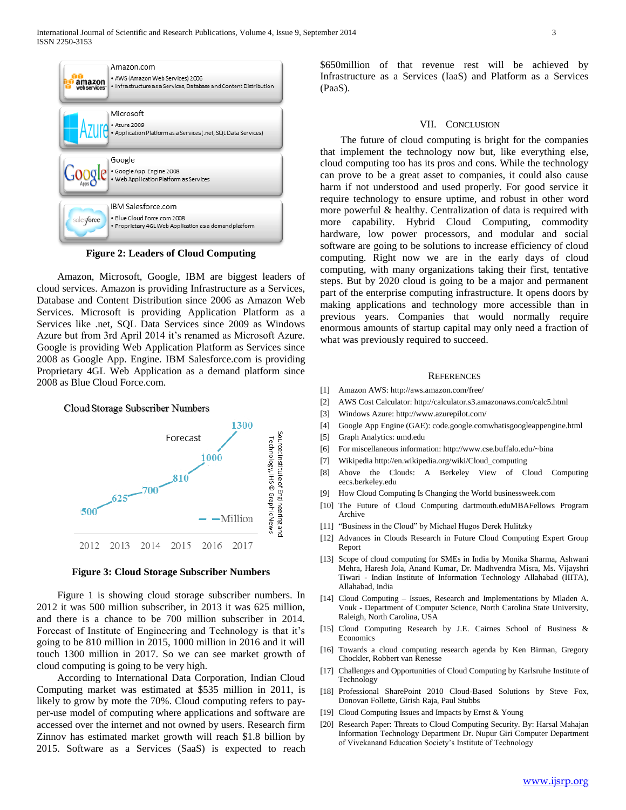

**Figure 2: Leaders of Cloud Computing**

 Amazon, Microsoft, Google, IBM are biggest leaders of cloud services. Amazon is providing Infrastructure as a Services, Database and Content Distribution since 2006 as Amazon Web Services. Microsoft is providing Application Platform as a Services like .net, SQL Data Services since 2009 as Windows Azure but from 3rd April 2014 it's renamed as Microsoft Azure. Google is providing Web Application Platform as Services since 2008 as Google App. Engine. IBM Salesforce.com is providing Proprietary 4GL Web Application as a demand platform since 2008 as Blue Cloud Force.com.



**Figure 3: Cloud Storage Subscriber Numbers**

 Figure 1 is showing cloud storage subscriber numbers. In 2012 it was 500 million subscriber, in 2013 it was 625 million, and there is a chance to be 700 million subscriber in 2014. Forecast of Institute of Engineering and Technology is that it's going to be 810 million in 2015, 1000 million in 2016 and it will touch 1300 million in 2017. So we can see market growth of cloud computing is going to be very high.

 According to International Data Corporation, Indian Cloud Computing market was estimated at \$535 million in 2011, is likely to grow by mote the 70%. Cloud computing refers to payper-use model of computing where applications and software are accessed over the internet and not owned by users. Research firm Zinnov has estimated market growth will reach \$1.8 billion by 2015. Software as a Services (SaaS) is expected to reach \$650million of that revenue rest will be achieved by Infrastructure as a Services (IaaS) and Platform as a Services (PaaS).

#### VII. CONCLUSION

 The future of cloud computing is bright for the companies that implement the technology now but, like everything else, cloud computing too has its pros and cons. While the technology can prove to be a great asset to companies, it could also cause harm if not understood and used properly. For good service it require technology to ensure uptime, and robust in other word more powerful & healthy. Centralization of data is required with more capability. Hybrid Cloud Computing, commodity hardware, low power processors, and modular and social software are going to be solutions to increase efficiency of cloud computing. Right now we are in the early days of cloud computing, with many organizations taking their first, tentative steps. But by 2020 cloud is going to be a major and permanent part of the enterprise computing infrastructure. It opens doors by making applications and technology more accessible than in previous years. Companies that would normally require enormous amounts of startup capital may only need a fraction of what was previously required to succeed.

#### **REFERENCES**

- [1] Amazon AWS: http://aws.amazon.com/free/
- [2] AWS Cost Calculator: http://calculator.s3.amazonaws.com/calc5.html
- [3] Windows Azure: http://www.azurepilot.com/
- [4] Google App Engine (GAE): code.google.comwhatisgoogleappengine.html
- [5] Graph Analytics: umd.edu
- [6] For miscellaneous information: http://www.cse.buffalo.edu/~bina
- [7] Wikipedia http://en.wikipedia.org/wiki/Cloud\_computing
- [8] Above the Clouds: A Berkeley View of Cloud Computing eecs.berkeley.edu
- [9] How Cloud Computing Is Changing the World businessweek.com
- [10] The Future of Cloud Computing dartmouth.eduMBAFellows Program Archive
- [11] "Business in the Cloud" by Michael Hugos Derek Hulitzky
- [12] Advances in Clouds Research in Future Cloud Computing Expert Group Report
- [13] Scope of cloud computing for SMEs in India by Monika Sharma, Ashwani Mehra, Haresh Jola, Anand Kumar, Dr. Madhvendra Misra, Ms. Vijayshri Tiwari - Indian Institute of Information Technology Allahabad (IIITA), Allahabad, India
- [14] Cloud Computing Issues, Research and Implementations by Mladen A. Vouk - Department of Computer Science, North Carolina State University, Raleigh, North Carolina, USA
- [15] Cloud Computing Research by J.E. Cairnes School of Business & Economics
- [16] Towards a cloud computing research agenda by Ken Birman, Gregory Chockler, Robbert van Renesse
- [17] Challenges and Opportunities of Cloud Computing by Karlsruhe Institute of Technology
- [18] Professional SharePoint 2010 Cloud-Based Solutions by Steve Fox, Donovan Follette, Girish Raja, Paul Stubbs
- [19] Cloud Computing Issues and Impacts by Ernst & Young
- [20] Research Paper: Threats to Cloud Computing Security. By: Harsal Mahajan Information Technology Department Dr. Nupur Giri Computer Department of Vivekanand Education Society's Institute of Technology